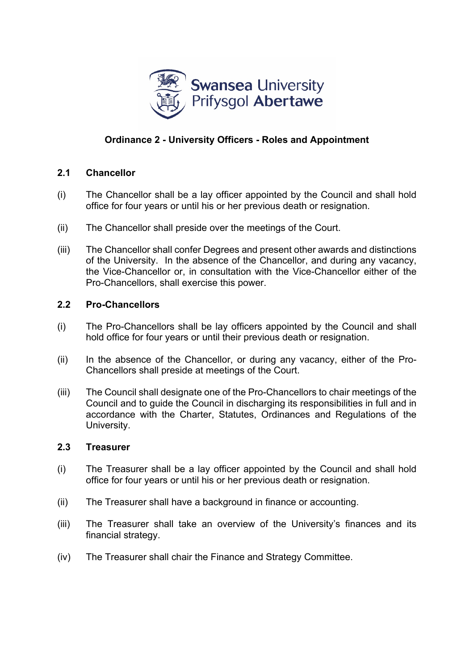

# **Ordinance 2 - University Officers - Roles and Appointment**

## **2.1 Chancellor**

- (i) The Chancellor shall be a lay officer appointed by the Council and shall hold office for four years or until his or her previous death or resignation.
- (ii) The Chancellor shall preside over the meetings of the Court.
- (iii) The Chancellor shall confer Degrees and present other awards and distinctions of the University. In the absence of the Chancellor, and during any vacancy, the Vice-Chancellor or, in consultation with the Vice-Chancellor either of the Pro-Chancellors, shall exercise this power.

## **2.2 Pro-Chancellors**

- (i) The Pro-Chancellors shall be lay officers appointed by the Council and shall hold office for four years or until their previous death or resignation.
- (ii) In the absence of the Chancellor, or during any vacancy, either of the Pro-Chancellors shall preside at meetings of the Court.
- (iii) The Council shall designate one of the Pro-Chancellors to chair meetings of the Council and to guide the Council in discharging its responsibilities in full and in accordance with the Charter, Statutes, Ordinances and Regulations of the University.

### **2.3 Treasurer**

- (i) The Treasurer shall be a lay officer appointed by the Council and shall hold office for four years or until his or her previous death or resignation.
- (ii) The Treasurer shall have a background in finance or accounting.
- (iii) The Treasurer shall take an overview of the University's finances and its financial strategy.
- (iv) The Treasurer shall chair the Finance and Strategy Committee.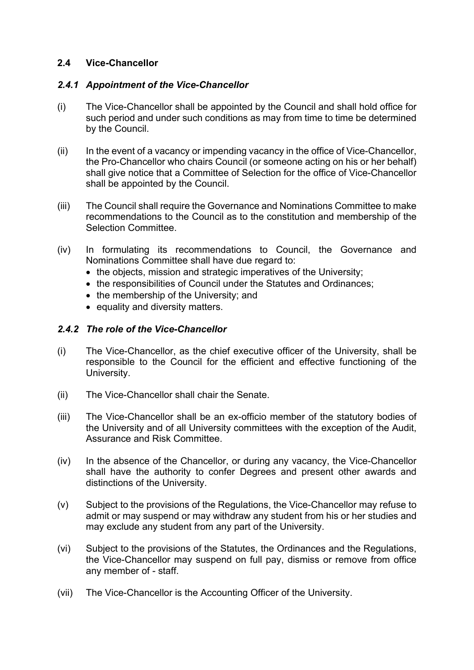## **2.4 Vice-Chancellor**

### *2.4.1 Appointment of the Vice-Chancellor*

- (i) The Vice-Chancellor shall be appointed by the Council and shall hold office for such period and under such conditions as may from time to time be determined by the Council.
- (ii) In the event of a vacancy or impending vacancy in the office of Vice-Chancellor, the Pro-Chancellor who chairs Council (or someone acting on his or her behalf) shall give notice that a Committee of Selection for the office of Vice-Chancellor shall be appointed by the Council.
- (iii) The Council shall require the Governance and Nominations Committee to make recommendations to the Council as to the constitution and membership of the Selection Committee.
- (iv) In formulating its recommendations to Council, the Governance and Nominations Committee shall have due regard to:
	- the objects, mission and strategic imperatives of the University;
	- the responsibilities of Council under the Statutes and Ordinances:
	- the membership of the University; and
	- equality and diversity matters.

## *2.4.2 The role of the Vice-Chancellor*

- (i) The Vice-Chancellor, as the chief executive officer of the University, shall be responsible to the Council for the efficient and effective functioning of the University.
- (ii) The Vice-Chancellor shall chair the Senate.
- (iii) The Vice-Chancellor shall be an ex-officio member of the statutory bodies of the University and of all University committees with the exception of the Audit, Assurance and Risk Committee.
- (iv) In the absence of the Chancellor, or during any vacancy, the Vice-Chancellor shall have the authority to confer Degrees and present other awards and distinctions of the University.
- (v) Subject to the provisions of the Regulations, the Vice-Chancellor may refuse to admit or may suspend or may withdraw any student from his or her studies and may exclude any student from any part of the University.
- (vi) Subject to the provisions of the Statutes, the Ordinances and the Regulations, the Vice-Chancellor may suspend on full pay, dismiss or remove from office any member of - staff.
- (vii) The Vice-Chancellor is the Accounting Officer of the University.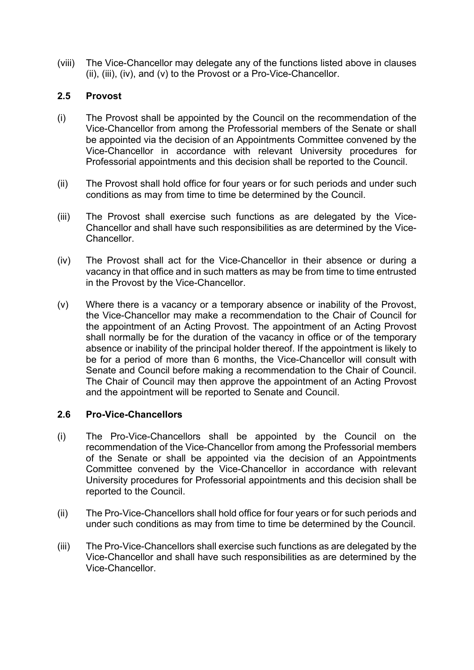(viii) The Vice-Chancellor may delegate any of the functions listed above in clauses (ii), (iii), (iv), and (v) to the Provost or a Pro-Vice-Chancellor.

## **2.5 Provost**

- (i) The Provost shall be appointed by the Council on the recommendation of the Vice-Chancellor from among the Professorial members of the Senate or shall be appointed via the decision of an Appointments Committee convened by the Vice-Chancellor in accordance with relevant University procedures for Professorial appointments and this decision shall be reported to the Council.
- (ii) The Provost shall hold office for four years or for such periods and under such conditions as may from time to time be determined by the Council.
- (iii) The Provost shall exercise such functions as are delegated by the Vice-Chancellor and shall have such responsibilities as are determined by the Vice-Chancellor.
- (iv) The Provost shall act for the Vice-Chancellor in their absence or during a vacancy in that office and in such matters as may be from time to time entrusted in the Provost by the Vice-Chancellor.
- (v) Where there is a vacancy or a temporary absence or inability of the Provost, the Vice-Chancellor may make a recommendation to the Chair of Council for the appointment of an Acting Provost. The appointment of an Acting Provost shall normally be for the duration of the vacancy in office or of the temporary absence or inability of the principal holder thereof. If the appointment is likely to be for a period of more than 6 months, the Vice-Chancellor will consult with Senate and Council before making a recommendation to the Chair of Council. The Chair of Council may then approve the appointment of an Acting Provost and the appointment will be reported to Senate and Council.

### **2.6 Pro-Vice-Chancellors**

- (i) The Pro-Vice-Chancellors shall be appointed by the Council on the recommendation of the Vice-Chancellor from among the Professorial members of the Senate or shall be appointed via the decision of an Appointments Committee convened by the Vice-Chancellor in accordance with relevant University procedures for Professorial appointments and this decision shall be reported to the Council.
- (ii) The Pro-Vice-Chancellors shall hold office for four years or for such periods and under such conditions as may from time to time be determined by the Council.
- (iii) The Pro-Vice-Chancellors shall exercise such functions as are delegated by the Vice-Chancellor and shall have such responsibilities as are determined by the Vice-Chancellor.